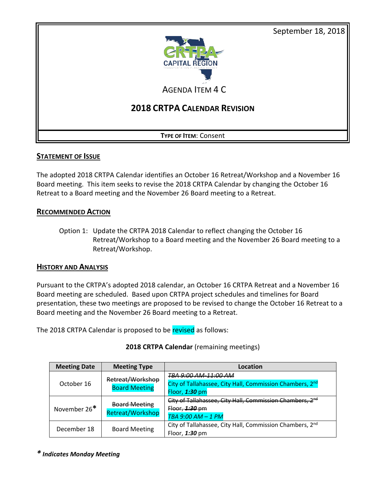September 18, 2018



AGENDA ITEM 4 C

# **2018 CRTPA CALENDAR REVISION**

**TYPE OF ITEM**: Consent

## **STATEMENT OF ISSUE**

The adopted 2018 CRTPA Calendar identifies an October 16 Retreat/Workshop and a November 16 Board meeting. This item seeks to revise the 2018 CRTPA Calendar by changing the October 16 Retreat to a Board meeting and the November 26 Board meeting to a Retreat.

#### **RECOMMENDED ACTION**

Option 1: Update the CRTPA 2018 Calendar to reflect changing the October 16 Retreat/Workshop to a Board meeting and the November 26 Board meeting to a Retreat/Workshop.

#### **HISTORY AND ANALYSIS**

Pursuant to the CRTPA's adopted 2018 calendar, an October 16 CRTPA Retreat and a November 16 Board meeting are scheduled. Based upon CRTPA project schedules and timelines for Board presentation, these two meetings are proposed to be revised to change the October 16 Retreat to a Board meeting and the November 26 Board meeting to a Retreat.

The 2018 CRTPA Calendar is proposed to be revised as follows:

| <b>Meeting Date</b> | <b>Meeting Type</b>                      | Location                                                             |
|---------------------|------------------------------------------|----------------------------------------------------------------------|
| October 16          | Retreat/Workshop<br><b>Board Meeting</b> | <del>TBA 9:00 AM-11:00 AM</del>                                      |
|                     |                                          | City of Tallahassee, City Hall, Commission Chambers, 2nd             |
|                     |                                          | Floor, 1:30 pm                                                       |
| November $26*$      | <b>Board Meeting</b><br>Retreat/Workshop | City of Tallahassee, City Hall, Commission Chambers, 2 <sup>nd</sup> |
|                     |                                          | <del>Floor, 1:30 pm</del>                                            |
|                     |                                          | TBA 9:00 AM - 1 PM                                                   |
| December 18         | <b>Board Meeting</b>                     | City of Tallahassee, City Hall, Commission Chambers, 2 <sup>nd</sup> |
|                     |                                          | Floor, $1:30$ pm                                                     |

#### **2018 CRTPA Calendar** (remaining meetings)

*\* Indicates Monday Meeting*